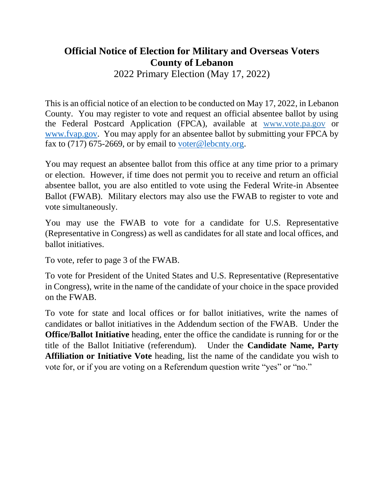## **Official Notice of Election for Military and Overseas Voters County of Lebanon**

2022 Primary Election (May 17, 2022)

This is an official notice of an election to be conducted on May 17, 2022, in Lebanon County. You may register to vote and request an official absentee ballot by using the Federal Postcard Application (FPCA), available at www.vote.pa.gov or [www.fvap.gov.](http://www.fvap.gov/) You may apply for an absentee ballot by submitting your FPCA by fax to (717) 675-2669, or by email to [voter@lebcnty.org.](mailto:voter@lebcnty.org)

You may request an absentee ballot from this office at any time prior to a primary or election. However, if time does not permit you to receive and return an official absentee ballot, you are also entitled to vote using the Federal Write-in Absentee Ballot (FWAB). Military electors may also use the FWAB to register to vote and vote simultaneously.

You may use the FWAB to vote for a candidate for U.S. Representative (Representative in Congress) as well as candidates for all state and local offices, and ballot initiatives.

To vote, refer to page 3 of the FWAB.

To vote for President of the United States and U.S. Representative (Representative in Congress), write in the name of the candidate of your choice in the space provided on the FWAB.

To vote for state and local offices or for ballot initiatives, write the names of candidates or ballot initiatives in the Addendum section of the FWAB. Under the **Office/Ballot Initiative** heading, enter the office the candidate is running for or the title of the Ballot Initiative (referendum). Under the **Candidate Name, Party Affiliation or Initiative Vote** heading, list the name of the candidate you wish to vote for, or if you are voting on a Referendum question write "yes" or "no."